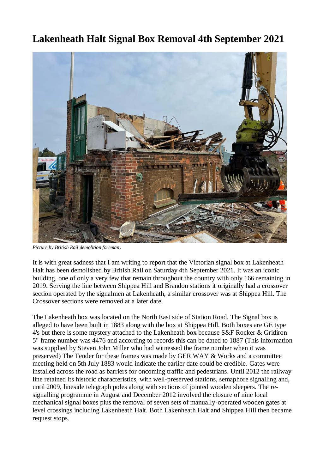## **Lakenheath Halt Signal Box Removal 4th September 2021**



*Picture by British Rail demolition foreman*.

It is with great sadness that I am writing to report that the Victorian signal box at Lakenheath Halt has been demolished by British Rail on Saturday 4th September 2021. It was an iconic building, one of only a very few that remain throughout the country with only 166 remaining in 2019. Serving the line between Shippea Hill and Brandon stations it originally had a crossover section operated by the signalmen at Lakenheath, a similar crossover was at Shippea Hill. The Crossover sections were removed at a later date.

The Lakenheath box was located on the North East side of Station Road. The Signal box is alleged to have been built in 1883 along with the box at Shippea Hill. Both boxes are GE type 4's but there is some mystery attached to the Lakenheath box because S&F Rocker & Gridiron 5" frame number was 4476 and according to records this can be dated to 1887 (This information was supplied by Steven John Miller who had witnessed the frame number when it was preserved) The Tender for these frames was made by GER WAY & Works and a committee meeting held on 5th July 1883 would indicate the earlier date could be credible. Gates were installed across the road as barriers for oncoming traffic and pedestrians. Until 2012 the railway line retained its historic characteristics, with well-preserved stations, semaphore signalling and, until 2009, lineside telegraph poles along with sections of jointed wooden sleepers. The resignalling programme in August and December 2012 involved the closure of nine local mechanical signal boxes plus the removal of seven sets of manually-operated wooden gates at level crossings including Lakenheath Halt. Both Lakenheath Halt and Shippea Hill then became request stops.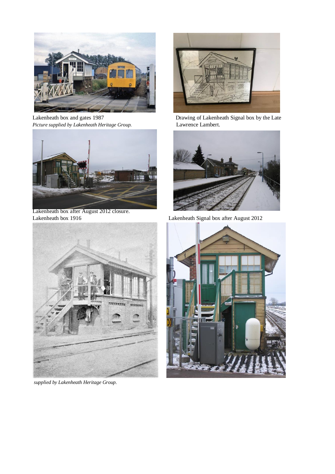

*Picture supplied by Lakenheath Heritage Group.* Lawrence Lambert.



Lakenheath box after August 2012 closure. Lakenheath box 1916 Lakenheath Signal box after August 2012



*supplied by Lakenheath Heritage Group.* 



Lakenheath box and gates 1987 Drawing of Lakenheath Signal box by the Late



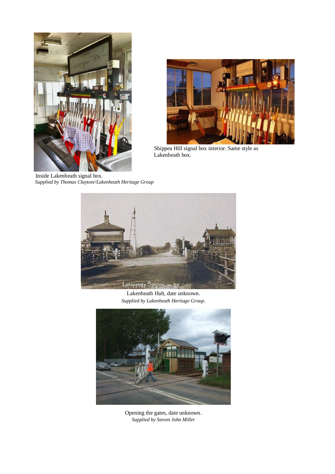

 Inside Lakenheath signal box.  *Supplied by Thomas Clayton//Lakenheath Heritage Group*



Shippea Hill signal box interior. Same style as Lakenheath box.



Lakenheath Halt, date unknown. *Supplied by Lakenheath Heritage Group*.



Opening the gates, date unknown. *Supplied by Steven John Miller*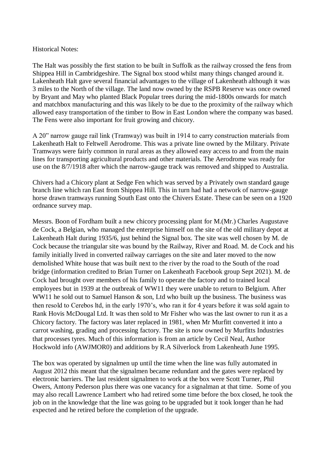## Historical Notes:

The Halt was possibly the first station to be built in Suffolk as the railway crossed the fens from Shippea Hill in Cambridgeshire. The Signal box stood whilst many things changed around it. Lakenheath Halt gave several financial advantages to the village of Lakenheath although it was 3 miles to the North of the village. The land now owned by the RSPB Reserve was once owned by Bryant and May who planted Black Popular trees during the mid-1800s onwards for match and matchbox manufacturing and this was likely to be due to the proximity of the railway which allowed easy transportation of the timber to Bow in East London where the company was based. The Fens were also important for fruit growing and chicory.

A 20" narrow gauge rail link (Tramway) was built in 1914 to carry construction materials from Lakenheath Halt to Feltwell Aerodrome. This was a private line owned by the Military. Private Tramways were fairly common in rural areas as they allowed easy access to and from the main lines for transporting agricultural products and other materials. The Aerodrome was ready for use on the 8/7/1918 after which the narrow-gauge track was removed and shipped to Australia.

Chivers had a Chicory plant at Sedge Fen which was served by a Privately own standard gauge branch line which ran East from Shippea Hill. This in turn had had a network of narrow-gauge horse drawn tramways running South East onto the Chivers Estate. These can be seen on a 1920 ordnance survey map.

Messrs. Boon of Fordham built a new chicory processing plant for M.(Mr.) Charles Augustave de Cock, a Belgian, who managed the enterprise himself on the site of the old military depot at Lakenheath Halt during 1935/6, just behind the Signal box. The site was well chosen by M. de Cock because the triangular site was bound by the Railway, River and Road. M. de Cock and his family initially lived in converted railway carriages on the site and later moved to the now demolished White house that was built next to the river by the road to the South of the road bridge (information credited to Brian Turner on Lakenheath Facebook group Sept 2021). M. de Cock had brought over members of his family to operate the factory and to trained local employees but in 1939 at the outbreak of WW11 they were unable to return to Belgium. After WW11 he sold out to Samuel Hanson & son, Ltd who built up the business. The business was then resold to Cerebos ltd, in the early 1970's, who ran it for 4 years before it was sold again to Rank Hovis McDougal Ltd. It was then sold to Mr Fisher who was the last owner to run it as a Chicory factory. The factory was later replaced in 1981, when Mr Murfitt converted it into a carrot washing, grading and processing factory. The site is now owned by Murfitts Industries that processes tyres. Much of this information is from an article by Cecil Neal, Author Hockwold info (AWJMOR0) and additions by R.A Silverlock from Lakenheath June 1995.

The box was operated by signalmen up until the time when the line was fully automated in August 2012 this meant that the signalmen became redundant and the gates were replaced by electronic barriers. The last resident signalmen to work at the box were Scott Turner, Phil Owers, Antony Pederson plus there was one vacancy for a signalman at that time. Some of you may also recall Lawrence Lambert who had retired some time before the box closed, he took the job on in the knowledge that the line was going to be upgraded but it took longer than he had expected and he retired before the completion of the upgrade.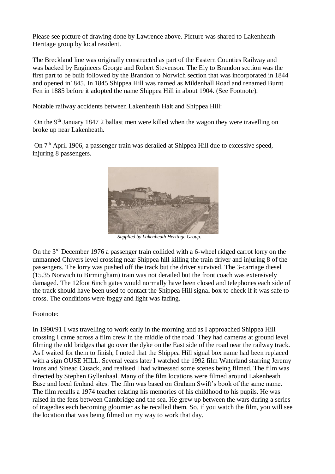Please see picture of drawing done by Lawrence above. Picture was shared to Lakenheath Heritage group by local resident.

The Breckland line was originally constructed as part of the Eastern Counties Railway and was backed by Engineers George and Robert Stevenson. The Ely to Brandon section was the first part to be built followed by the Brandon to Norwich section that was incorporated in 1844 and opened in1845. In 1845 Shippea Hill was named as Mildenhall Road and renamed Burnt Fen in 1885 before it adopted the name Shippea Hill in about 1904. (See Footnote).

Notable railway accidents between Lakenheath Halt and Shippea Hill:

On the 9<sup>th</sup> January 1847 2 ballast men were killed when the wagon they were travelling on broke up near Lakenheath.

On 7<sup>th</sup> April 1906, a passenger train was derailed at Shippea Hill due to excessive speed. injuring 8 passengers.



 *Supplied by Lakenheath Heritage Group*.

On the 3rd December 1976 a passenger train collided with a 6-wheel ridged carrot lorry on the unmanned Chivers level crossing near Shippea hill killing the train driver and injuring 8 of the passengers. The lorry was pushed off the track but the driver survived. The 3-carriage diesel (15.35 Norwich to Birmingham) train was not derailed but the front coach was extensively damaged. The 12foot 6inch gates would normally have been closed and telephones each side of the track should have been used to contact the Shippea Hill signal box to check if it was safe to cross. The conditions were foggy and light was fading.

Footnote:

In 1990/91 I was travelling to work early in the morning and as I approached Shippea Hill crossing I came across a film crew in the middle of the road. They had cameras at ground level filming the old bridges that go over the dyke on the East side of the road near the railway track. As I waited for them to finish, I noted that the Shippea Hill signal box name had been replaced with a sign OUSE HILL. Several years later I watched the 1992 film Waterland starring Jeremy Irons and Sinead Cusack, and realised I had witnessed some scenes being filmed. The film was directed by Stephen Gyllenhaal. Many of the film locations were filmed around Lakenheath Base and local fenland sites. The film was based on Graham Swift's book of the same name. The film recalls a 1974 teacher relating his memories of his childhood to his pupils. He was raised in the fens between Cambridge and the sea. He grew up between the wars during a series of tragedies each becoming gloomier as he recalled them. So, if you watch the film, you will see the location that was being filmed on my way to work that day.